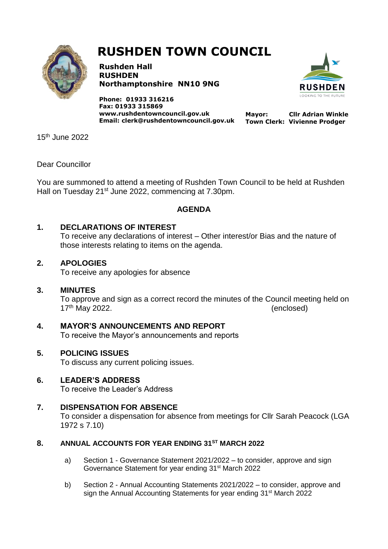

# **RUSHDEN TOWN COUNCIL**

**Rushden Hall RUSHDEN Northamptonshire NN10 9NG**

**Phone: 01933 316216 Fax: 01933 315869 [www.rushdentowncouncil.gov.uk](http://www.rushdentowncouncil.gov.uk/) Email: clerk@rushdentowncouncil.gov.uk**



**Mayor: Cllr Adrian Winkle Town Clerk: Vivienne Prodger**

15th June 2022

#### Dear Councillor

You are summoned to attend a meeting of Rushden Town Council to be held at Rushden Hall on Tuesday 21<sup>st</sup> June 2022, commencing at 7.30pm.

#### **AGENDA**

#### **1. DECLARATIONS OF INTEREST**

To receive any declarations of interest – Other interest/or Bias and the nature of those interests relating to items on the agenda.

#### **2. APOLOGIES**

To receive any apologies for absence

#### **3. MINUTES**

To approve and sign as a correct record the minutes of the Council meeting held on 17<sup>th</sup> May 2022.

**4. MAYOR'S ANNOUNCEMENTS AND REPORT** To receive the Mayor's announcements and reports

## **5. POLICING ISSUES**

To discuss any current policing issues.

## **6. LEADER'S ADDRESS**

To receive the Leader's Address

# **7. DISPENSATION FOR ABSENCE**

To consider a dispensation for absence from meetings for Cllr Sarah Peacock (LGA 1972 s 7.10)

#### **8. ANNUAL ACCOUNTS FOR YEAR ENDING 31ST MARCH 2022**

- a) Section 1 Governance Statement 2021/2022 to consider, approve and sign Governance Statement for year ending 31<sup>st</sup> March 2022
- b) Section 2 Annual Accounting Statements 2021/2022 to consider, approve and sign the Annual Accounting Statements for year ending 31<sup>st</sup> March 2022